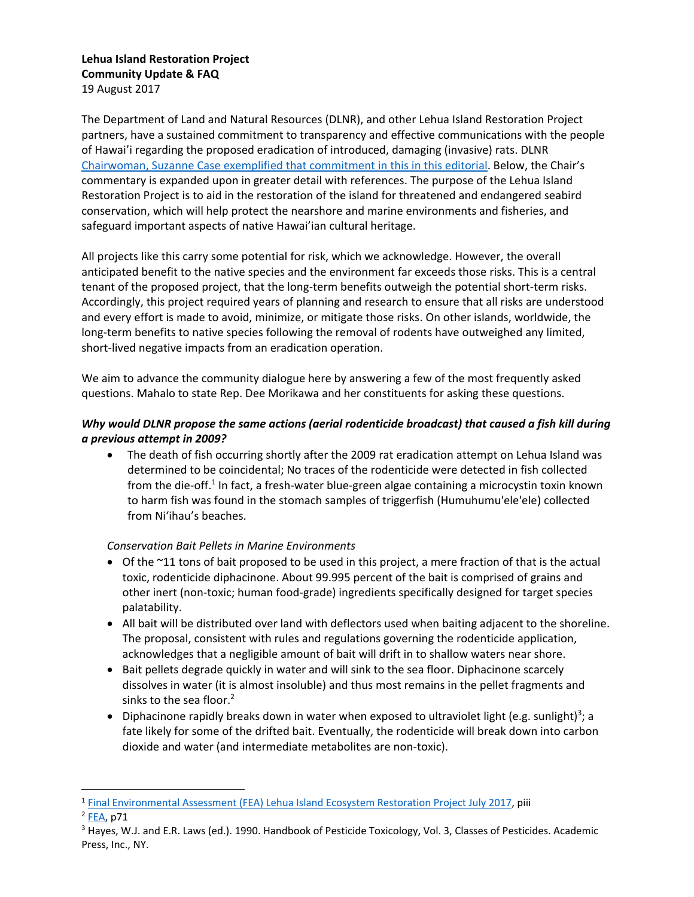# **Lehua Island Restoration Project Community Update & FAQ**

19 August 2017

The Department of Land and Natural Resources (DLNR), and other Lehua Island Restoration Project partners, have a sustained commitment to transparency and effective communications with the people of Hawai'i regarding the proposed eradication of introduced, damaging (invasive) rats. DLNR [Chairwoman, Suzanne Case exemplified that commitment](http://thegardenisland.com/news/opinion/guest/dlnr-responds-to-concerns-on-lehua-rat-eradication/article_b7108872-c663-5f89-8cdf-07429d104eeb.html) in this in this editorial. Below, the Chair's commentary is expanded upon in greater detail with references. The purpose of the Lehua Island Restoration Project is to aid in the restoration of the island for threatened and endangered seabird conservation, which will help protect the nearshore and marine environments and fisheries, and safeguard important aspects of native Hawai'ian cultural heritage.

All projects like this carry some potential for risk, which we acknowledge. However, the overall anticipated benefit to the native species and the environment far exceeds those risks. This is a central tenant of the proposed project, that the long-term benefits outweigh the potential short-term risks. Accordingly, this project required years of planning and research to ensure that all risks are understood and every effort is made to avoid, minimize, or mitigate those risks. On other islands, worldwide, the long-term benefits to native species following the removal of rodents have outweighed any limited, short-lived negative impacts from an eradication operation.

We aim to advance the community dialogue here by answering a few of the most frequently asked questions. Mahalo to state Rep. Dee Morikawa and her constituents for asking these questions.

# *Why would DLNR propose the same actions (aerial rodenticide broadcast) that caused a fish kill during a previous attempt in 2009?*

• The death of fish occurring shortly after the 2009 rat eradication attempt on Lehua Island was determined to be coincidental; No traces of the rodenticide were detected in fish collected from the die-off.<sup>1</sup> In fact, a fresh-water blue-green algae containing a microcystin toxin known to harm fish was found in the stomach samples of triggerfish (Humuhumu'ele'ele) collected from Ni'ihau's beaches.

# *Conservation Bait Pellets in Marine Environments*

- Of the ~11 tons of bait proposed to be used in this project, a mere fraction of that is the actual toxic, rodenticide diphacinone. About 99.995 percent of the bait is comprised of grains and other inert (non-toxic; human food-grade) ingredients specifically designed for target species palatability.
- All bait will be distributed over land with deflectors used when baiting adjacent to the shoreline. The proposal, consistent with rules and regulations governing the rodenticide application, acknowledges that a negligible amount of bait will drift in to shallow waters near shore.
- Bait pellets degrade quickly in water and will sink to the sea floor. Diphacinone scarcely dissolves in water (it is almost insoluble) and thus most remains in the pellet fragments and sinks to the sea floor.<sup>2</sup>
- Diphacinone rapidly breaks down in water when exposed to ultraviolet light (e.g. sunlight)<sup>3</sup>; a fate likely for some of the drifted bait. Eventually, the rodenticide will break down into carbon dioxide and water (and intermediate metabolites are non-toxic).

 $\overline{a}$ 

<sup>&</sup>lt;sup>1</sup> [Final Environmental Assessment \(FEA\) Lehua Island Ecosystem Restoration Project July 2017,](https://www.fws.gov/pacificislands/documents/Lehua%202017%20Final%20EA_06Ju12017.pdf) piii

<sup>&</sup>lt;sup>2</sup> [FEA,](https://www.fws.gov/pacificislands/documents/Lehua%202017%20Final%20EA_06Ju12017.pdf) p71

<sup>&</sup>lt;sup>3</sup> Hayes, W.J. and E.R. Laws (ed.). 1990. Handbook of Pesticide Toxicology, Vol. 3, Classes of Pesticides. Academic Press, Inc., NY.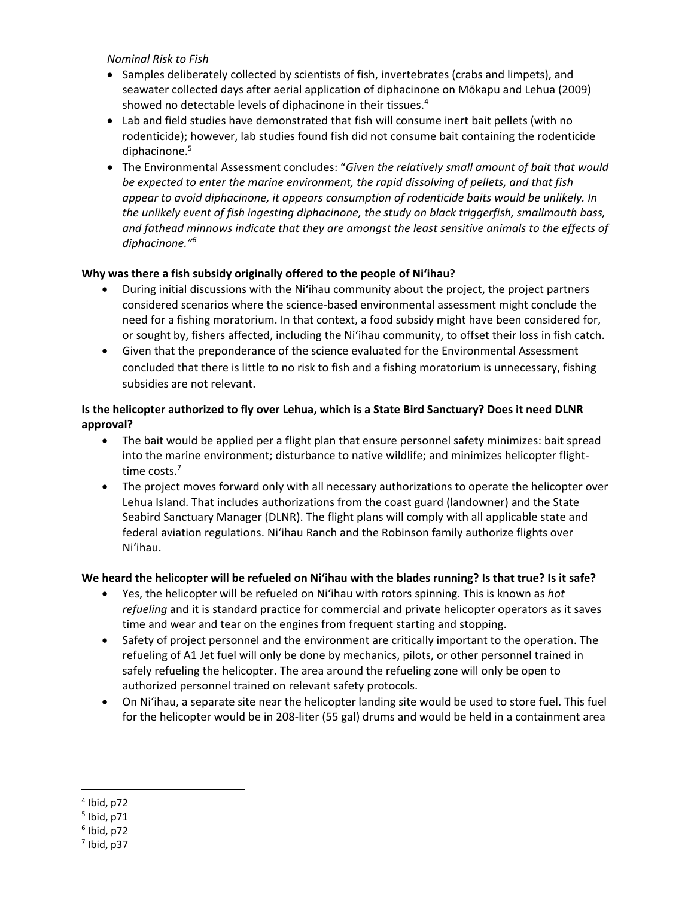#### *Nominal Risk to Fish*

- Samples deliberately collected by scientists of fish, invertebrates (crabs and limpets), and seawater collected days after aerial application of diphacinone on Mōkapu and Lehua (2009) showed no detectable levels of diphacinone in their tissues.<sup>4</sup>
- Lab and field studies have demonstrated that fish will consume inert bait pellets (with no rodenticide); however, lab studies found fish did not consume bait containing the rodenticide diphacinone. 5
- The Environmental Assessment concludes: "*Given the relatively small amount of bait that would be expected to enter the marine environment, the rapid dissolving of pellets, and that fish appear to avoid diphacinone, it appears consumption of rodenticide baits would be unlikely. In the unlikely event of fish ingesting diphacinone, the study on black triggerfish, smallmouth bass, and fathead minnows indicate that they are amongst the least sensitive animals to the effects of diphacinone." 6*

### **Why was there a fish subsidy originally offered to the people of Ni'ihau?**

- During initial discussions with the Ni'ihau community about the project, the project partners considered scenarios where the science-based environmental assessment might conclude the need for a fishing moratorium. In that context, a food subsidy might have been considered for, or sought by, fishers affected, including the Ni'ihau community, to offset their loss in fish catch.
- Given that the preponderance of the science evaluated for the Environmental Assessment concluded that there is little to no risk to fish and a fishing moratorium is unnecessary, fishing subsidies are not relevant.

## **Is the helicopter authorized to fly over Lehua, which is a State Bird Sanctuary? Does it need DLNR approval?**

- The bait would be applied per a flight plan that ensure personnel safety minimizes: bait spread into the marine environment; disturbance to native wildlife; and minimizes helicopter flighttime costs. 7
- The project moves forward only with all necessary authorizations to operate the helicopter over Lehua Island. That includes authorizations from the coast guard (landowner) and the State Seabird Sanctuary Manager (DLNR). The flight plans will comply with all applicable state and federal aviation regulations. Ni'ihau Ranch and the Robinson family authorize flights over Ni'ihau.

# **We heard the helicopter will be refueled on Ni'ihau with the blades running? Is that true? Is it safe?**

- Yes, the helicopter will be refueled on Ni'ihau with rotors spinning. This is known as *hot refueling* and it is standard practice for commercial and private helicopter operators as it saves time and wear and tear on the engines from frequent starting and stopping.
- Safety of project personnel and the environment are critically important to the operation. The refueling of A1 Jet fuel will only be done by mechanics, pilots, or other personnel trained in safely refueling the helicopter. The area around the refueling zone will only be open to authorized personnel trained on relevant safety protocols.
- On Ni'ihau, a separate site near the helicopter landing site would be used to store fuel. This fuel for the helicopter would be in 208-liter (55 gal) drums and would be held in a containment area

 $\overline{a}$ 4 Ibid, p72

<sup>5</sup> Ibid, p71

<sup>6</sup> Ibid, p72

 $<sup>7</sup>$  Ibid, p37</sup>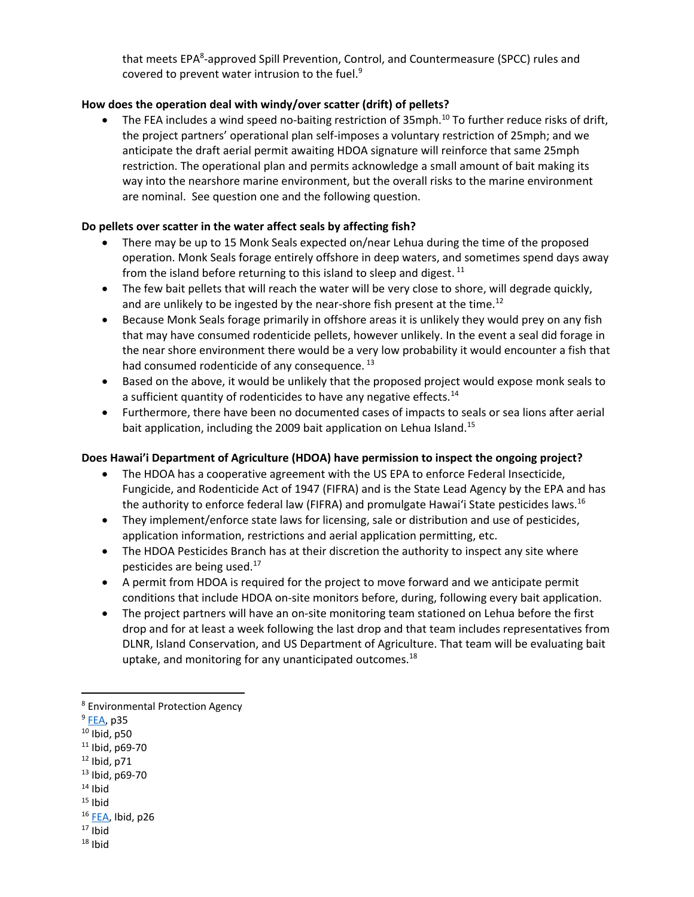that meets EPA<sup>8</sup>-approved Spill Prevention, Control, and Countermeasure (SPCC) rules and covered to prevent water intrusion to the fuel. $9$ 

### **How does the operation deal with windy/over scatter (drift) of pellets?**

The FEA includes a wind speed no-baiting restriction of 35mph.<sup>10</sup> To further reduce risks of drift, the project partners' operational plan self-imposes a voluntary restriction of 25mph; and we anticipate the draft aerial permit awaiting HDOA signature will reinforce that same 25mph restriction. The operational plan and permits acknowledge a small amount of bait making its way into the nearshore marine environment, but the overall risks to the marine environment are nominal. See question one and the following question.

### **Do pellets over scatter in the water affect seals by affecting fish?**

- There may be up to 15 Monk Seals expected on/near Lehua during the time of the proposed operation. Monk Seals forage entirely offshore in deep waters, and sometimes spend days away from the island before returning to this island to sleep and digest.  $11$
- The few bait pellets that will reach the water will be very close to shore, will degrade quickly, and are unlikely to be ingested by the near-shore fish present at the time.<sup>12</sup>
- Because Monk Seals forage primarily in offshore areas it is unlikely they would prey on any fish that may have consumed rodenticide pellets, however unlikely. In the event a seal did forage in the near shore environment there would be a very low probability it would encounter a fish that had consumed rodenticide of any consequence.<sup>13</sup>
- Based on the above, it would be unlikely that the proposed project would expose monk seals to a sufficient quantity of rodenticides to have any negative effects.<sup>14</sup>
- Furthermore, there have been no documented cases of impacts to seals or sea lions after aerial bait application, including the 2009 bait application on Lehua Island.<sup>15</sup>

#### **Does Hawai'i Department of Agriculture (HDOA) have permission to inspect the ongoing project?**

- The HDOA has a cooperative agreement with the US EPA to enforce Federal Insecticide, Fungicide, and Rodenticide Act of 1947 (FIFRA) and is the State Lead Agency by the EPA and has the authority to enforce federal law (FIFRA) and promulgate Hawai'i State pesticides laws.<sup>16</sup>
- They implement/enforce state laws for licensing, sale or distribution and use of pesticides, application information, restrictions and aerial application permitting, etc.
- The HDOA Pesticides Branch has at their discretion the authority to inspect any site where pesticides are being used.<sup>17</sup>
- A permit from HDOA is required for the project to move forward and we anticipate permit conditions that include HDOA on-site monitors before, during, following every bait application.
- The project partners will have an on-site monitoring team stationed on Lehua before the first drop and for at least a week following the last drop and that team includes representatives from DLNR, Island Conservation, and US Department of Agriculture. That team will be evaluating bait uptake, and monitoring for any unanticipated outcomes.<sup>18</sup>

 $\overline{\phantom{a}}$ 

- $11$  Ibid, p69-70
- $12$  Ibid, p71
- <sup>13</sup> Ibid, p69-70
- $14$  Ibid
- $15$  Ibid

 $17$  Ibid  $18$  Ihid

<sup>8</sup> Environmental Protection Agency

<sup>&</sup>lt;sup>9</sup> [FEA,](https://www.fws.gov/pacificislands/documents/Lehua%202017%20Final%20EA_06Ju12017.pdf) p35

 $10$  Ibid, p50

 $16$  [FEA,](https://www.fws.gov/pacificislands/documents/Lehua%202017%20Final%20EA_06Ju12017.pdf) Ibid, p26